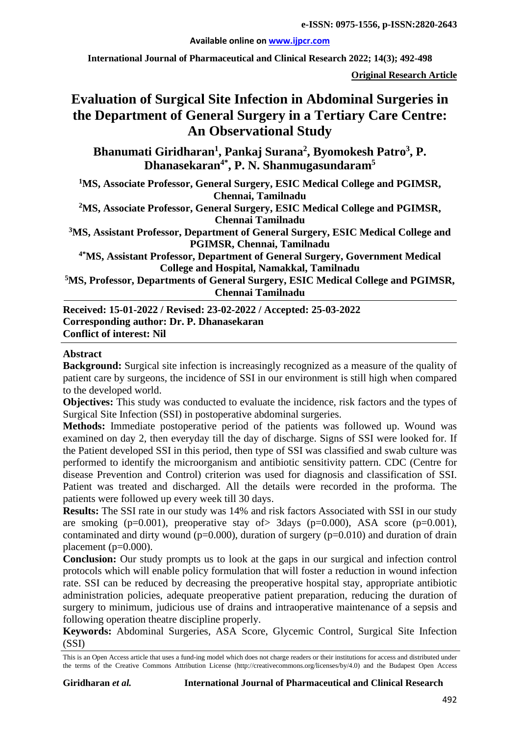**Available online on [www.ijpcr.com](http://www.ijpcr.com/)**

**International Journal of Pharmaceutical and Clinical Research 2022; 14(3); 492-498**

**Original Research Article**

# **Evaluation of Surgical Site Infection in Abdominal Surgeries in the Department of General Surgery in a Tertiary Care Centre: An Observational Study**

Bhanumati Giridharan<sup>1</sup>, Pankaj Surana<sup>2</sup>, Byomokesh Patro<sup>3</sup>, P. **Dhanasekaran4\* , P. N. Shanmugasundaram5**

**1MS, Associate Professor, General Surgery, ESIC Medical College and PGIMSR, Chennai, Tamilnadu**

**2 MS, Associate Professor, General Surgery, ESIC Medical College and PGIMSR, Chennai Tamilnadu**

**3MS, Assistant Professor, Department of General Surgery, ESIC Medical College and PGIMSR, Chennai, Tamilnadu**

**4\*MS, Assistant Professor, Department of General Surgery, Government Medical College and Hospital, Namakkal, Tamilnadu**

**5MS, Professor, Departments of General Surgery, ESIC Medical College and PGIMSR, Chennai Tamilnadu**

**Received: 15-01-2022 / Revised: 23-02-2022 / Accepted: 25-03-2022 Corresponding author: Dr. P. Dhanasekaran Conflict of interest: Nil**

#### **Abstract**

**Background:** Surgical site infection is increasingly recognized as a measure of the quality of patient care by surgeons, the incidence of SSI in our environment is still high when compared to the developed world.

**Objectives:** This study was conducted to evaluate the incidence, risk factors and the types of Surgical Site Infection (SSI) in postoperative abdominal surgeries.

**Methods:** Immediate postoperative period of the patients was followed up. Wound was examined on day 2, then everyday till the day of discharge. Signs of SSI were looked for. If the Patient developed SSI in this period, then type of SSI was classified and swab culture was performed to identify the microorganism and antibiotic sensitivity pattern. CDC (Centre for disease Prevention and Control) criterion was used for diagnosis and classification of SSI. Patient was treated and discharged. All the details were recorded in the proforma. The patients were followed up every week till 30 days.

**Results:** The SSI rate in our study was 14% and risk factors Associated with SSI in our study are smoking (p=0.001), preoperative stay of  $> 3$ days (p=0.000), ASA score (p=0.001), contaminated and dirty wound ( $p=0.000$ ), duration of surgery ( $p=0.010$ ) and duration of drain placement ( $p=0.000$ ).

**Conclusion:** Our study prompts us to look at the gaps in our surgical and infection control protocols which will enable policy formulation that will foster a reduction in wound infection rate. SSI can be reduced by decreasing the preoperative hospital stay, appropriate antibiotic administration policies, adequate preoperative patient preparation, reducing the duration of surgery to minimum, judicious use of drains and intraoperative maintenance of a sepsis and following operation theatre discipline properly.

**Keywords:** Abdominal Surgeries, ASA Score, Glycemic Control, Surgical Site Infection (SSI)

This is an Open Access article that uses a fund-ing model which does not charge readers or their institutions for access and distributed under the terms of the Creative Commons Attribution License (http://creativecommons.org/licenses/by/4.0) and the Budapest Open Access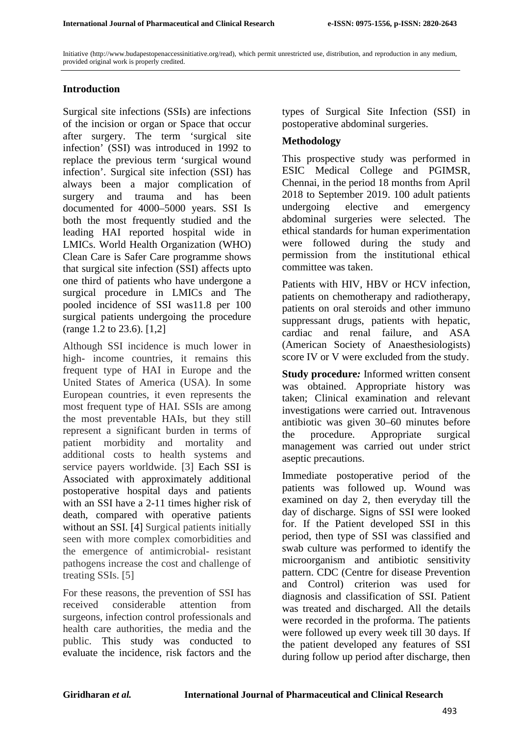Initiative (http://www.budapestopenaccessinitiative.org/read), which permit unrestricted use, distribution, and reproduction in any medium, provided original work is properly credited.

## **Introduction**

Surgical site infections (SSIs) are infections of the incision or organ or Space that occur after surgery. The term 'surgical site infection' (SSI) was introduced in 1992 to replace the previous term 'surgical wound infection'. Surgical site infection (SSI) has always been a major complication of surgery and trauma and has been documented for 4000–5000 years. SSI Is both the most frequently studied and the leading HAI reported hospital wide in LMICs. World Health Organization (WHO) Clean Care is Safer Care programme shows that surgical site infection (SSI) affects upto one third of patients who have undergone a surgical procedure in LMICs and The pooled incidence of SSI was11.8 per 100 surgical patients undergoing the procedure (range 1.2 to 23.6). [1,2]

Although SSI incidence is much lower in high- income countries, it remains this frequent type of HAI in Europe and the United States of America (USA). In some European countries, it even represents the most frequent type of HAI. SSIs are among the most preventable HAIs, but they still represent a significant burden in terms of patient morbidity and mortality and additional costs to health systems and service payers worldwide. [3] Each SSI is Associated with approximately additional postoperative hospital days and patients with an SSI have a 2-11 times higher risk of death, compared with operative patients without an SSI. [4] Surgical patients initially seen with more complex comorbidities and the emergence of antimicrobial- resistant pathogens increase the cost and challenge of treating SSIs. [5]

For these reasons, the prevention of SSI has received considerable attention from surgeons, infection control professionals and health care authorities, the media and the public. This study was conducted to evaluate the incidence, risk factors and the

types of Surgical Site Infection (SSI) in postoperative abdominal surgeries.

## **Methodology**

This prospective study was performed in ESIC Medical College and PGIMSR, Chennai, in the period 18 months from April 2018 to September 2019. 100 adult patients undergoing elective and emergency abdominal surgeries were selected. The ethical standards for human experimentation were followed during the study and permission from the institutional ethical committee was taken.

Patients with HIV, HBV or HCV infection, patients on chemotherapy and radiotherapy, patients on oral steroids and other immuno suppressant drugs, patients with hepatic, cardiac and renal failure, and ASA (American Society of Anaesthesiologists) score IV or V were excluded from the study.

**Study procedure***:* Informed written consent was obtained. Appropriate history was taken; Clinical examination and relevant investigations were carried out. Intravenous antibiotic was given 30–60 minutes before the procedure. Appropriate surgical management was carried out under strict aseptic precautions.

Immediate postoperative period of the patients was followed up. Wound was examined on day 2, then everyday till the day of discharge. Signs of SSI were looked for. If the Patient developed SSI in this period, then type of SSI was classified and swab culture was performed to identify the microorganism and antibiotic sensitivity pattern. CDC (Centre for disease Prevention and Control) criterion was used for diagnosis and classification of SSI. Patient was treated and discharged. All the details were recorded in the proforma. The patients were followed up every week till 30 days. If the patient developed any features of SSI during follow up period after discharge, then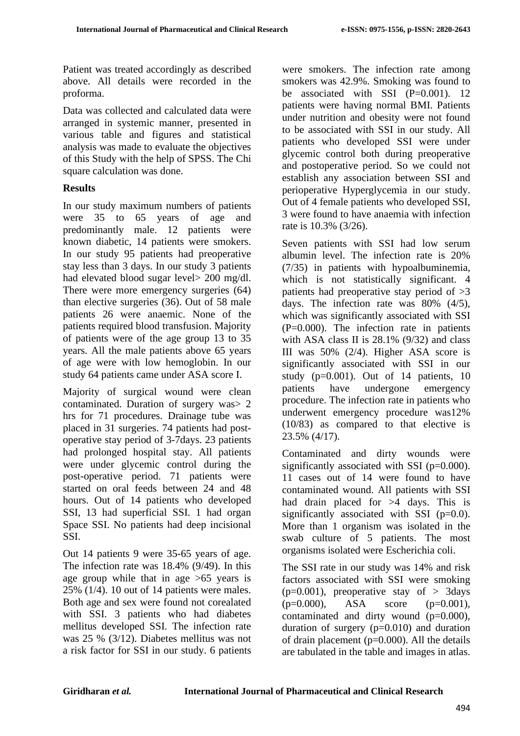Patient was treated accordingly as described above. All details were recorded in the proforma.

Data was collected and calculated data were arranged in systemic manner, presented in various table and figures and statistical analysis was made to evaluate the objectives of this Study with the help of SPSS. The Chi square calculation was done.

# **Results**

In our study maximum numbers of patients were 35 to 65 years of age and predominantly male. 12 patients were known diabetic, 14 patients were smokers. In our study 95 patients had preoperative stay less than 3 days. In our study 3 patients had elevated blood sugar level> 200 mg/dl. There were more emergency surgeries (64) than elective surgeries (36). Out of 58 male patients 26 were anaemic. None of the patients required blood transfusion. Majority of patients were of the age group 13 to 35 years. All the male patients above 65 years of age were with low hemoglobin. In our study 64 patients came under ASA score I.

Majority of surgical wound were clean contaminated. Duration of surgery was> 2 hrs for 71 procedures. Drainage tube was placed in 31 surgeries. 74 patients had postoperative stay period of 3-7days. 23 patients had prolonged hospital stay. All patients were under glycemic control during the post-operative period. 71 patients were started on oral feeds between 24 and 48 hours. Out of 14 patients who developed SSI, 13 had superficial SSI. 1 had organ Space SSI. No patients had deep incisional SSI.

Out 14 patients 9 were 35-65 years of age. The infection rate was 18.4% (9/49). In this age group while that in age >65 years is 25% (1/4). 10 out of 14 patients were males. Both age and sex were found not corealated with SSI. 3 patients who had diabetes mellitus developed SSI. The infection rate was 25 % (3/12). Diabetes mellitus was not a risk factor for SSI in our study. 6 patients were smokers. The infection rate among smokers was 42.9%. Smoking was found to be associated with SSI  $(P=0.001)$ . 12 patients were having normal BMI. Patients under nutrition and obesity were not found to be associated with SSI in our study. All patients who developed SSI were under glycemic control both during preoperative and postoperative period. So we could not establish any association between SSI and perioperative Hyperglycemia in our study. Out of 4 female patients who developed SSI, 3 were found to have anaemia with infection rate is 10.3% (3/26).

Seven patients with SSI had low serum albumin level. The infection rate is 20% (7/35) in patients with hypoalbuminemia, which is not statistically significant. 4 patients had preoperative stay period of >3 days. The infection rate was 80% (4/5), which was significantly associated with SSI (P=0.000). The infection rate in patients with ASA class II is  $28.1\%$  (9/32) and class III was 50% (2/4). Higher ASA score is significantly associated with SSI in our study ( $p=0.001$ ). Out of 14 patients, 10 patients have undergone emergency procedure. The infection rate in patients who underwent emergency procedure was12% (10/83) as compared to that elective is 23.5% (4/17).

Contaminated and dirty wounds were significantly associated with SSI (p=0.000). 11 cases out of 14 were found to have contaminated wound. All patients with SSI had drain placed for >4 days. This is significantly associated with SSI  $(p=0.0)$ . More than 1 organism was isolated in the swab culture of 5 patients. The most organisms isolated were Escherichia coli.

The SSI rate in our study was 14% and risk factors associated with SSI were smoking  $(p=0.001)$ , preoperative stay of  $> 3$ days  $(p=0.000)$ , ASA score  $(p=0.001)$ , contaminated and dirty wound (p=0.000), duration of surgery  $(p=0.010)$  and duration of drain placement  $(p=0.000)$ . All the details are tabulated in the table and images in atlas.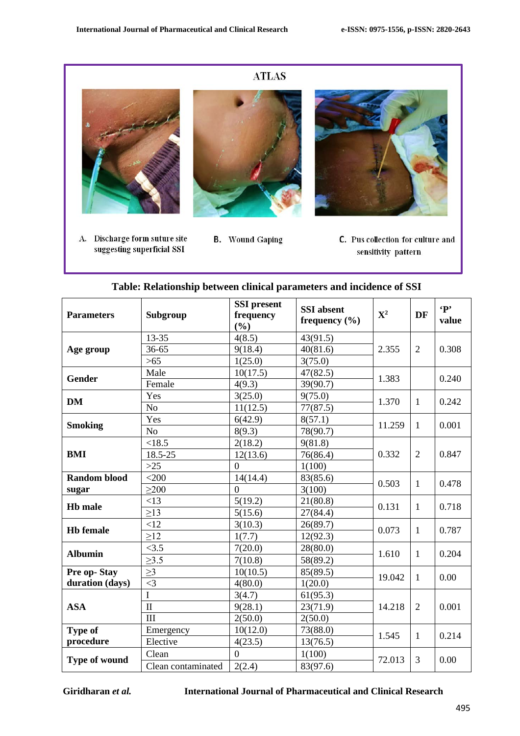

| <b>Parameters</b>              | Subgroup           | <b>SSI</b> present<br>frequency<br>(%) | <b>SSI</b> absent<br>frequency $(\% )$ | ${\bf X}^2$ | <b>DF</b>      | $\mathbf{P}$<br>value |
|--------------------------------|--------------------|----------------------------------------|----------------------------------------|-------------|----------------|-----------------------|
| Age group                      | 13-35              | 4(8.5)                                 | 43(91.5)                               | 2.355       | $\overline{2}$ | 0.308                 |
|                                | 36-65              | 9(18.4)                                | 40(81.6)                               |             |                |                       |
|                                | $>65$              | 1(25.0)                                | 3(75.0)                                |             |                |                       |
| <b>Gender</b>                  | Male               | 10(17.5)                               | 47(82.5)                               | 1.383       |                | 0.240                 |
|                                | Female             | 4(9.3)                                 | 39(90.7)                               |             |                |                       |
|                                | Yes                | 3(25.0)                                | 9(75.0)                                |             | $\mathbf{1}$   | 0.242                 |
| <b>DM</b>                      | N <sub>o</sub>     | 11(12.5)                               | 77(87.5)                               | 1.370       |                |                       |
| <b>Smoking</b>                 | Yes                | 6(42.9)                                | 8(57.1)                                |             | $\mathbf{1}$   | 0.001                 |
|                                | N <sub>o</sub>     | 8(9.3)                                 | 78(90.7)                               | 11.259      |                |                       |
|                                | < 18.5             | 2(18.2)                                | 9(81.8)                                | 0.332       | $\overline{2}$ | 0.847                 |
| <b>BMI</b>                     | 18.5-25            | 12(13.6)                               | 76(86.4)                               |             |                |                       |
|                                | $>25$              | $\overline{0}$                         | 1(100)                                 |             |                |                       |
| <b>Random blood</b>            | $<$ 200            | 14(14.4)                               | 83(85.6)                               | 0.503       | $\mathbf{1}$   | 0.478                 |
| sugar                          | >200               | $\overline{0}$                         | 3(100)                                 |             |                |                       |
| <b>Hb</b> male                 | <13                | 5(19.2)                                | 21(80.8)                               | 0.131       | $\mathbf{1}$   | 0.718                 |
|                                | $\geq$ 13          | 5(15.6)                                | 27(84.4)                               |             |                |                       |
| <b>Hb</b> female               | <12                | 3(10.3)                                | 26(89.7)                               | 0.073       | $\mathbf{1}$   | 0.787                 |
|                                | $\geq$ 12          | 1(7.7)                                 | 12(92.3)                               |             |                |                       |
| <b>Albumin</b>                 | <3.5               | 7(20.0)                                | 28(80.0)                               |             | $\mathbf{1}$   | 0.204                 |
|                                | $\geq 3.5$         | 7(10.8)                                | 58(89.2)                               | 1.610       |                |                       |
| Pre op-Stay<br>duration (days) | $\geq$ 3           | 10(10.5)                               | 85(89.5)                               |             | $\mathbf{1}$   | 0.00                  |
|                                | $\leq$ 3           | 4(80.0)                                | 1(20.0)                                | 19.042      |                |                       |
| <b>ASA</b>                     | $\mathbf I$        | 3(4.7)                                 | 61(95.3)                               | 14.218      | $\overline{2}$ | 0.001                 |
|                                | $\mathbf{I}$       | 9(28.1)                                | 23(71.9)                               |             |                |                       |
|                                | III                | 2(50.0)                                | 2(50.0)                                |             |                |                       |
| <b>Type of</b>                 | Emergency          | 10(12.0)                               | 73(88.0)                               | 1.545       | $\mathbf{1}$   | 0.214                 |
| procedure                      | Elective           | 4(23.5)                                | 13(76.5)                               |             |                |                       |
| Type of wound                  | Clean              | $\overline{0}$                         | 1(100)                                 |             | 3              | 0.00                  |
|                                | Clean contaminated | 2(2.4)                                 | 83(97.6)                               | 72.013      |                |                       |

| Table: Relationship between clinical parameters and incidence of SSI |  |  |  |  |  |  |
|----------------------------------------------------------------------|--|--|--|--|--|--|
|----------------------------------------------------------------------|--|--|--|--|--|--|

**Giridharan** *et al.* **International Journal of Pharmaceutical and Clinical Research**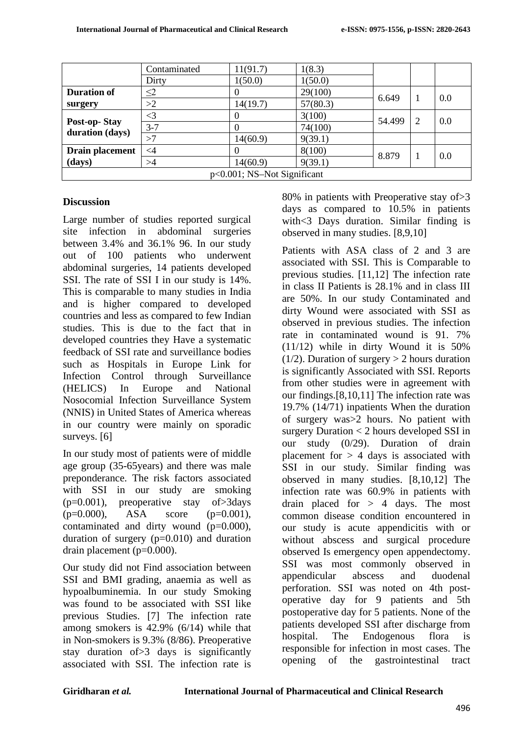|                                 | Contaminated | 11(91.7) | 1(8.3)   |        |  |     |
|---------------------------------|--------------|----------|----------|--------|--|-----|
|                                 | Dirty        | 1(50.0)  | 1(50.0)  |        |  |     |
| <b>Duration of</b>              | $\leq$ 2     |          | 29(100)  | 6.649  |  | 0.0 |
| surgery                         | >2           | 14(19.7) | 57(80.3) |        |  |     |
| Post-op-Stay<br>duration (days) | $\leq$ 3     |          | 3(100)   | 54.499 |  | 0.0 |
|                                 | $3 - 7$      |          | 74(100)  |        |  |     |
|                                 | >7           | 14(60.9) | 9(39.1)  |        |  |     |
| Drain placement                 | $\leq$ 4     |          | 8(100)   | 8.879  |  | 0.0 |
| (days)                          | >4           | 14(60.9) | 9(39.1)  |        |  |     |
| $p<0.001$ ; NS-Not Significant  |              |          |          |        |  |     |

#### **Discussion**

Large number of studies reported surgical site infection in abdominal surgeries between 3.4% and 36.1% 96. In our study out of 100 patients who underwent abdominal surgeries, 14 patients developed SSI. The rate of SSI I in our study is 14%. This is comparable to many studies in India and is higher compared to developed countries and less as compared to few Indian studies. This is due to the fact that in developed countries they Have a systematic feedback of SSI rate and surveillance bodies such as Hospitals in Europe Link for Infection Control through Surveillance (HELICS) In Europe and National Nosocomial Infection Surveillance System (NNIS) in United States of America whereas in our country were mainly on sporadic surveys. [6]

In our study most of patients were of middle age group (35-65years) and there was male preponderance. The risk factors associated with SSI in our study are smoking  $(p=0.001)$ , preoperative stay of  $>3$ days  $(p=0.000)$ , ASA score  $(p=0.001)$ , contaminated and dirty wound (p=0.000), duration of surgery (p=0.010) and duration drain placement (p=0.000).

Our study did not Find association between SSI and BMI grading, anaemia as well as hypoalbuminemia. In our study Smoking was found to be associated with SSI like previous Studies. [7] The infection rate among smokers is 42.9% (6/14) while that in Non-smokers is 9.3% (8/86). Preoperative stay duration of>3 days is significantly associated with SSI. The infection rate is

80% in patients with Preoperative stay of>3 days as compared to 10.5% in patients with<3 Days duration. Similar finding is observed in many studies. [8,9,10]

Patients with ASA class of 2 and 3 are associated with SSI. This is Comparable to previous studies. [11,12] The infection rate in class II Patients is 28.1% and in class III are 50%. In our study Contaminated and dirty Wound were associated with SSI as observed in previous studies. The infection rate in contaminated wound is 91. 7% (11/12) while in dirty Wound it is 50%  $(1/2)$ . Duration of surgery  $> 2$  hours duration is significantly Associated with SSI. Reports from other studies were in agreement with our findings.[8,10,11] The infection rate was 19.7% (14/71) inpatients When the duration of surgery was>2 hours. No patient with surgery Duration < 2 hours developed SSI in our study (0/29). Duration of drain placement for  $> 4$  days is associated with SSI in our study. Similar finding was observed in many studies. [8,10,12] The infection rate was 60.9% in patients with drain placed for  $> 4$  days. The most common disease condition encountered in our study is acute appendicitis with or without abscess and surgical procedure observed Is emergency open appendectomy. SSI was most commonly observed in appendicular abscess and duodenal perforation. SSI was noted on 4th postoperative day for 9 patients and 5th postoperative day for 5 patients. None of the patients developed SSI after discharge from hospital. The Endogenous flora is responsible for infection in most cases. The opening of the gastrointestinal tract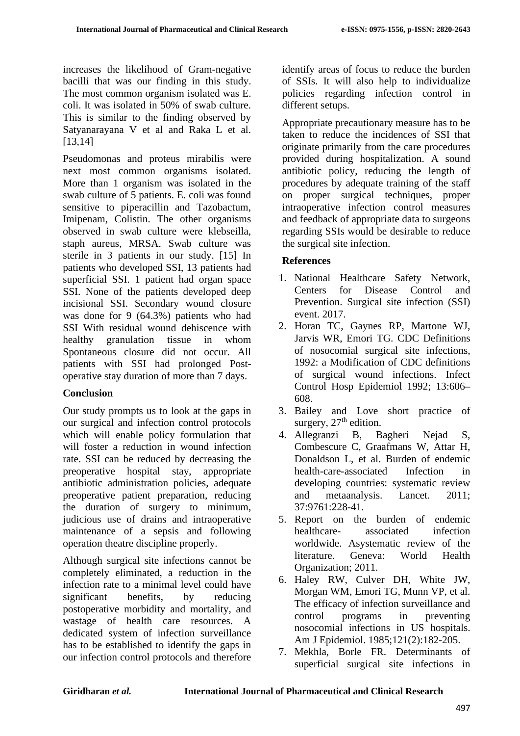increases the likelihood of Gram-negative bacilli that was our finding in this study. The most common organism isolated was E. coli. It was isolated in 50% of swab culture. This is similar to the finding observed by Satyanarayana V et al and Raka L et al. [13,14]

Pseudomonas and proteus mirabilis were next most common organisms isolated. More than 1 organism was isolated in the swab culture of 5 patients. E. coli was found sensitive to piperacillin and Tazobactum, Imipenam, Colistin. The other organisms observed in swab culture were klebseilla, staph aureus, MRSA. Swab culture was sterile in 3 patients in our study. [15] In patients who developed SSI, 13 patients had superficial SSI. 1 patient had organ space SSI. None of the patients developed deep incisional SSI. Secondary wound closure was done for 9 (64.3%) patients who had SSI With residual wound dehiscence with healthy granulation tissue in whom Spontaneous closure did not occur. All patients with SSI had prolonged Postoperative stay duration of more than 7 days.

#### **Conclusion**

Our study prompts us to look at the gaps in our surgical and infection control protocols which will enable policy formulation that will foster a reduction in wound infection rate. SSI can be reduced by decreasing the preoperative hospital stay, appropriate antibiotic administration policies, adequate preoperative patient preparation, reducing the duration of surgery to minimum, judicious use of drains and intraoperative maintenance of a sepsis and following operation theatre discipline properly.

Although surgical site infections cannot be completely eliminated, a reduction in the infection rate to a minimal level could have significant benefits, by reducing postoperative morbidity and mortality, and wastage of health care resources. A dedicated system of infection surveillance has to be established to identify the gaps in our infection control protocols and therefore identify areas of focus to reduce the burden of SSIs. It will also help to individualize policies regarding infection control in different setups.

Appropriate precautionary measure has to be taken to reduce the incidences of SSI that originate primarily from the care procedures provided during hospitalization. A sound antibiotic policy, reducing the length of procedures by adequate training of the staff on proper surgical techniques, proper intraoperative infection control measures and feedback of appropriate data to surgeons regarding SSIs would be desirable to reduce the surgical site infection.

# **References**

- 1. National Healthcare Safety Network, Centers for Disease Control and Prevention. Surgical site infection (SSI) event. 2017.
- 2. Horan TC, Gaynes RP, Martone WJ, Jarvis WR, Emori TG. CDC Definitions of nosocomial surgical site infections, 1992: a Modification of CDC definitions of surgical wound infections. Infect Control Hosp Epidemiol 1992; 13:606– 608.
- 3. Bailey and Love short practice of surgery,  $27<sup>th</sup>$  edition.
- 4. Allegranzi B, Bagheri Nejad S, Combescure C, Graafmans W, Attar H, Donaldson L, et al. Burden of endemic health-care-associated Infection in developing countries: systematic review and metaanalysis. Lancet. 2011; 37:9761:228-41.
- 5. Report on the burden of endemic healthcare- associated infection worldwide. Asystematic review of the literature. Geneva: World Health Organization; 2011.
- 6. Haley RW, Culver DH, White JW, Morgan WM, Emori TG, Munn VP, et al. The efficacy of infection surveillance and control programs in preventing nosocomial infections in US hospitals. Am J Epidemiol. 1985;121(2):182-205.
- 7. Mekhla, Borle FR. Determinants of superficial surgical site infections in